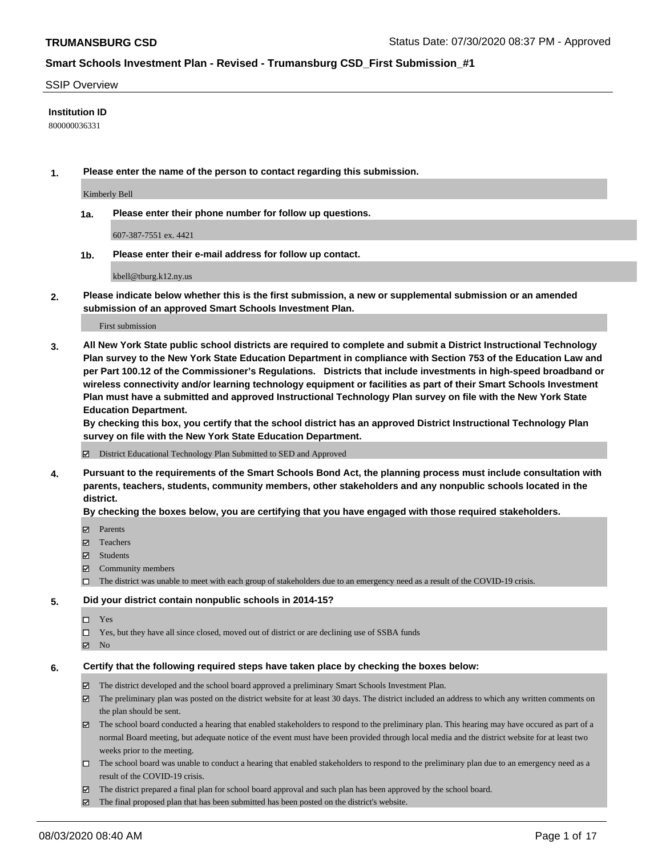#### SSIP Overview

#### **Institution ID**

800000036331

**1. Please enter the name of the person to contact regarding this submission.**

Kimberly Bell

**1a. Please enter their phone number for follow up questions.**

607-387-7551 ex. 4421

**1b. Please enter their e-mail address for follow up contact.**

kbell@tburg.k12.ny.us

**2. Please indicate below whether this is the first submission, a new or supplemental submission or an amended submission of an approved Smart Schools Investment Plan.**

#### First submission

**3. All New York State public school districts are required to complete and submit a District Instructional Technology Plan survey to the New York State Education Department in compliance with Section 753 of the Education Law and per Part 100.12 of the Commissioner's Regulations. Districts that include investments in high-speed broadband or wireless connectivity and/or learning technology equipment or facilities as part of their Smart Schools Investment Plan must have a submitted and approved Instructional Technology Plan survey on file with the New York State Education Department.** 

**By checking this box, you certify that the school district has an approved District Instructional Technology Plan survey on file with the New York State Education Department.**

District Educational Technology Plan Submitted to SED and Approved

**4. Pursuant to the requirements of the Smart Schools Bond Act, the planning process must include consultation with parents, teachers, students, community members, other stakeholders and any nonpublic schools located in the district.** 

#### **By checking the boxes below, you are certifying that you have engaged with those required stakeholders.**

- **Parents**
- Teachers
- Students
- $\boxtimes$  Community members
- The district was unable to meet with each group of stakeholders due to an emergency need as a result of the COVID-19 crisis.

#### **5. Did your district contain nonpublic schools in 2014-15?**

- $\neg$  Yes
- Yes, but they have all since closed, moved out of district or are declining use of SSBA funds
- **Z** No

#### **6. Certify that the following required steps have taken place by checking the boxes below:**

- The district developed and the school board approved a preliminary Smart Schools Investment Plan.
- $\boxtimes$  The preliminary plan was posted on the district website for at least 30 days. The district included an address to which any written comments on the plan should be sent.
- The school board conducted a hearing that enabled stakeholders to respond to the preliminary plan. This hearing may have occured as part of a normal Board meeting, but adequate notice of the event must have been provided through local media and the district website for at least two weeks prior to the meeting.
- The school board was unable to conduct a hearing that enabled stakeholders to respond to the preliminary plan due to an emergency need as a result of the COVID-19 crisis.
- The district prepared a final plan for school board approval and such plan has been approved by the school board.
- $\boxtimes$  The final proposed plan that has been submitted has been posted on the district's website.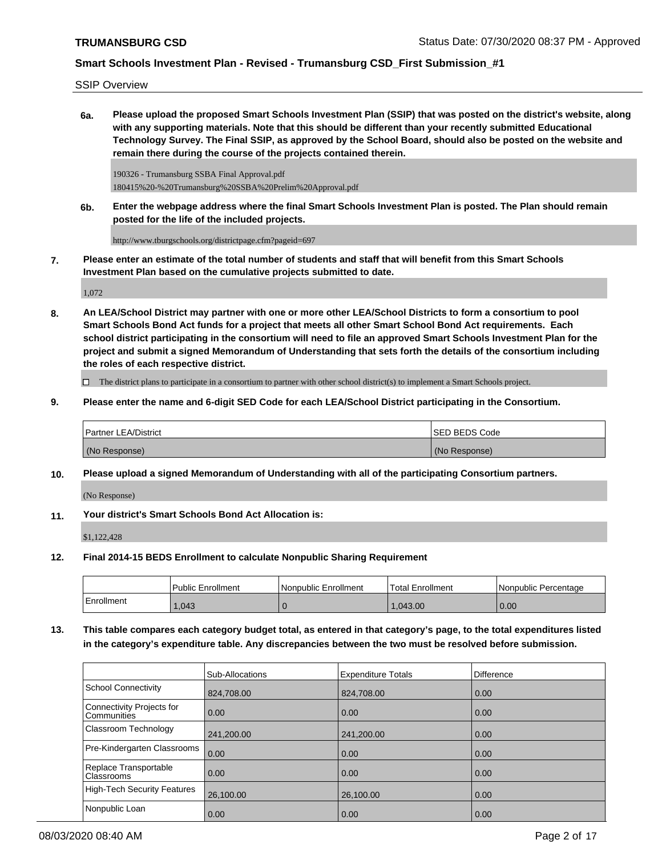SSIP Overview

**6a. Please upload the proposed Smart Schools Investment Plan (SSIP) that was posted on the district's website, along with any supporting materials. Note that this should be different than your recently submitted Educational Technology Survey. The Final SSIP, as approved by the School Board, should also be posted on the website and remain there during the course of the projects contained therein.**

190326 - Trumansburg SSBA Final Approval.pdf 180415%20-%20Trumansburg%20SSBA%20Prelim%20Approval.pdf

**6b. Enter the webpage address where the final Smart Schools Investment Plan is posted. The Plan should remain posted for the life of the included projects.**

http://www.tburgschools.org/districtpage.cfm?pageid=697

**7. Please enter an estimate of the total number of students and staff that will benefit from this Smart Schools Investment Plan based on the cumulative projects submitted to date.**

1,072

**8. An LEA/School District may partner with one or more other LEA/School Districts to form a consortium to pool Smart Schools Bond Act funds for a project that meets all other Smart School Bond Act requirements. Each school district participating in the consortium will need to file an approved Smart Schools Investment Plan for the project and submit a signed Memorandum of Understanding that sets forth the details of the consortium including the roles of each respective district.**

 $\Box$  The district plans to participate in a consortium to partner with other school district(s) to implement a Smart Schools project.

**9. Please enter the name and 6-digit SED Code for each LEA/School District participating in the Consortium.**

| <b>Partner LEA/District</b> | <b>ISED BEDS Code</b> |
|-----------------------------|-----------------------|
| (No Response)               | (No Response)         |

**10. Please upload a signed Memorandum of Understanding with all of the participating Consortium partners.**

(No Response)

**11. Your district's Smart Schools Bond Act Allocation is:**

\$1,122,428

**12. Final 2014-15 BEDS Enrollment to calculate Nonpublic Sharing Requirement**

|            | <b>Public Enrollment</b> | l Nonpublic Enrollment | <b>Total Enrollment</b> | l Nonpublic Percentage |
|------------|--------------------------|------------------------|-------------------------|------------------------|
| Enrollment | 1,043                    |                        | .043.00                 | 0.00                   |

**13. This table compares each category budget total, as entered in that category's page, to the total expenditures listed in the category's expenditure table. Any discrepancies between the two must be resolved before submission.**

|                                            | <b>Sub-Allocations</b> | <b>Expenditure Totals</b> | <b>Difference</b> |
|--------------------------------------------|------------------------|---------------------------|-------------------|
| School Connectivity                        | 824,708.00             | 824,708.00                | 0.00              |
| Connectivity Projects for<br>l Communities | $\overline{0.00}$      | 0.00                      | 0.00              |
| Classroom Technology                       | 241,200.00             | 241,200.00                | 0.00              |
| Pre-Kindergarten Classrooms                | 0.00                   | 0.00                      | 0.00              |
| Replace Transportable<br><b>Classrooms</b> | $\overline{0.00}$      | 0.00                      | 0.00              |
| High-Tech Security Features                | 26,100.00              | 26,100.00                 | 0.00              |
| Nonpublic Loan                             | 0.00                   | 0.00                      | 0.00              |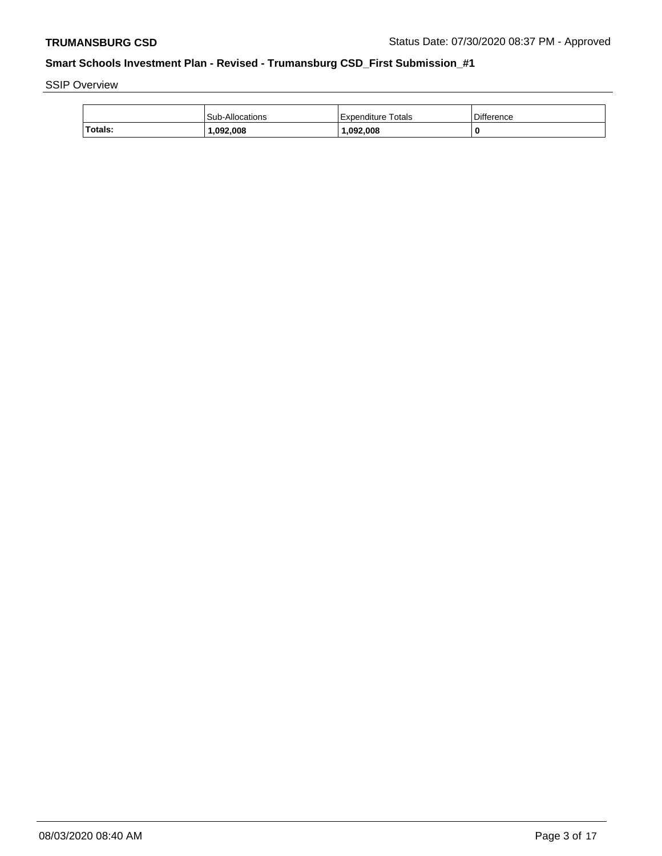SSIP Overview

|                | <b>Sub-Allocations</b> | Expenditure Totals | <b>Difference</b> |
|----------------|------------------------|--------------------|-------------------|
| <b>Totals:</b> | .092.008               | 1,092,008          |                   |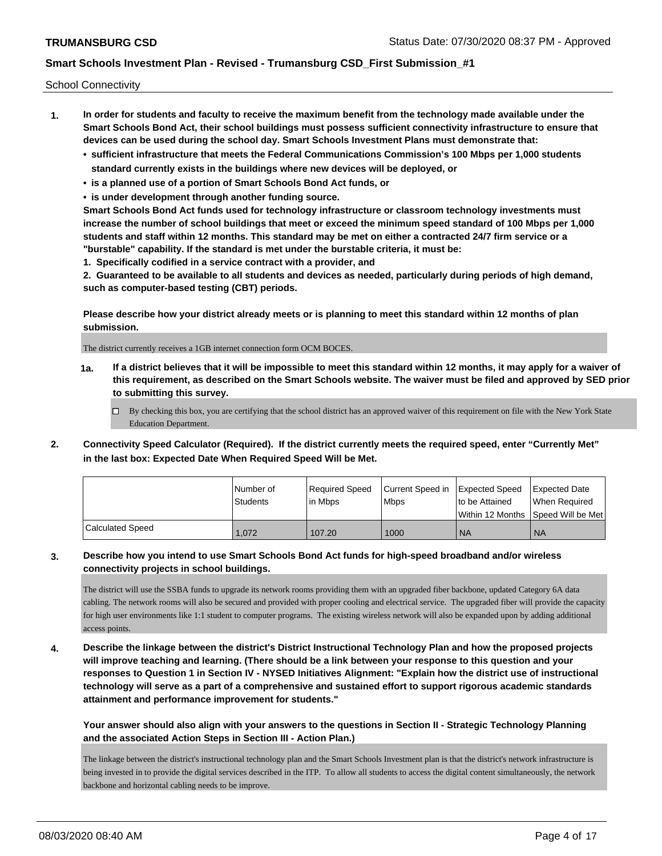School Connectivity

- **1. In order for students and faculty to receive the maximum benefit from the technology made available under the Smart Schools Bond Act, their school buildings must possess sufficient connectivity infrastructure to ensure that devices can be used during the school day. Smart Schools Investment Plans must demonstrate that:**
	- **• sufficient infrastructure that meets the Federal Communications Commission's 100 Mbps per 1,000 students standard currently exists in the buildings where new devices will be deployed, or**
	- **• is a planned use of a portion of Smart Schools Bond Act funds, or**
	- **• is under development through another funding source.**

**Smart Schools Bond Act funds used for technology infrastructure or classroom technology investments must increase the number of school buildings that meet or exceed the minimum speed standard of 100 Mbps per 1,000 students and staff within 12 months. This standard may be met on either a contracted 24/7 firm service or a "burstable" capability. If the standard is met under the burstable criteria, it must be:**

**1. Specifically codified in a service contract with a provider, and**

**2. Guaranteed to be available to all students and devices as needed, particularly during periods of high demand, such as computer-based testing (CBT) periods.**

**Please describe how your district already meets or is planning to meet this standard within 12 months of plan submission.**

The district currently receives a 1GB internet connection form OCM BOCES.

**1a. If a district believes that it will be impossible to meet this standard within 12 months, it may apply for a waiver of this requirement, as described on the Smart Schools website. The waiver must be filed and approved by SED prior to submitting this survey.**

 $\Box$  By checking this box, you are certifying that the school district has an approved waiver of this requirement on file with the New York State Education Department.

**2. Connectivity Speed Calculator (Required). If the district currently meets the required speed, enter "Currently Met" in the last box: Expected Date When Required Speed Will be Met.**

|                         | l Number of     | Reauired Speed | Current Speed in Expected Speed |                  | <b>Expected Date</b>                |
|-------------------------|-----------------|----------------|---------------------------------|------------------|-------------------------------------|
|                         | <b>Students</b> | l in Mbps      | l Mbps                          | I to be Attained | When Required                       |
|                         |                 |                |                                 |                  | Within 12 Months ISpeed Will be Met |
| <b>Calculated Speed</b> | 1.072           | 107.20         | 1000                            | ' NA             | <b>NA</b>                           |

#### **3. Describe how you intend to use Smart Schools Bond Act funds for high-speed broadband and/or wireless connectivity projects in school buildings.**

The district will use the SSBA funds to upgrade its network rooms providing them with an upgraded fiber backbone, updated Category 6A data cabling. The network rooms will also be secured and provided with proper cooling and electrical service. The upgraded fiber will provide the capacity for high user environments like 1:1 student to computer programs. The existing wireless network will also be expanded upon by adding additional access points.

**4. Describe the linkage between the district's District Instructional Technology Plan and how the proposed projects will improve teaching and learning. (There should be a link between your response to this question and your responses to Question 1 in Section IV - NYSED Initiatives Alignment: "Explain how the district use of instructional technology will serve as a part of a comprehensive and sustained effort to support rigorous academic standards attainment and performance improvement for students."** 

**Your answer should also align with your answers to the questions in Section II - Strategic Technology Planning and the associated Action Steps in Section III - Action Plan.)**

The linkage between the district's instructional technology plan and the Smart Schools Investment plan is that the district's network infrastructure is being invested in to provide the digital services described in the ITP. To allow all students to access the digital content simultaneously, the network backbone and horizontal cabling needs to be improve.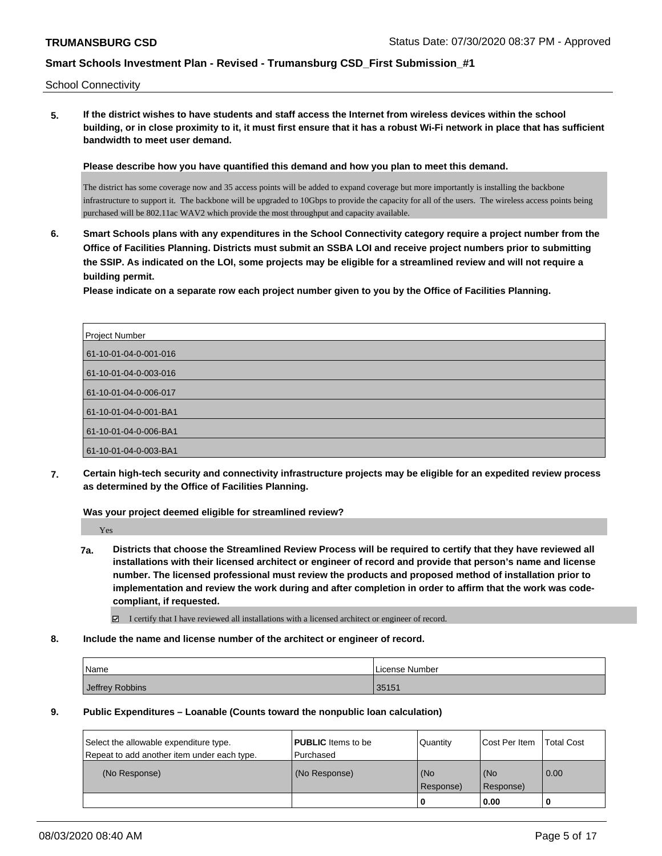School Connectivity

**5. If the district wishes to have students and staff access the Internet from wireless devices within the school building, or in close proximity to it, it must first ensure that it has a robust Wi-Fi network in place that has sufficient bandwidth to meet user demand.**

**Please describe how you have quantified this demand and how you plan to meet this demand.**

The district has some coverage now and 35 access points will be added to expand coverage but more importantly is installing the backbone infrastructure to support it. The backbone will be upgraded to 10Gbps to provide the capacity for all of the users. The wireless access points being purchased will be 802.11ac WAV2 which provide the most throughput and capacity available.

**6. Smart Schools plans with any expenditures in the School Connectivity category require a project number from the Office of Facilities Planning. Districts must submit an SSBA LOI and receive project numbers prior to submitting the SSIP. As indicated on the LOI, some projects may be eligible for a streamlined review and will not require a building permit.**

**Please indicate on a separate row each project number given to you by the Office of Facilities Planning.**

| Project Number        |
|-----------------------|
| 61-10-01-04-0-001-016 |
| 61-10-01-04-0-003-016 |
| 61-10-01-04-0-006-017 |
| 61-10-01-04-0-001-BA1 |
| 61-10-01-04-0-006-BA1 |
| 61-10-01-04-0-003-BA1 |

**7. Certain high-tech security and connectivity infrastructure projects may be eligible for an expedited review process as determined by the Office of Facilities Planning.**

**Was your project deemed eligible for streamlined review?**

Yes

**7a. Districts that choose the Streamlined Review Process will be required to certify that they have reviewed all installations with their licensed architect or engineer of record and provide that person's name and license number. The licensed professional must review the products and proposed method of installation prior to implementation and review the work during and after completion in order to affirm that the work was codecompliant, if requested.**

I certify that I have reviewed all installations with a licensed architect or engineer of record.

**8. Include the name and license number of the architect or engineer of record.**

| Name            | License Number |
|-----------------|----------------|
| Jeffrey Robbins | 35151          |

**9. Public Expenditures – Loanable (Counts toward the nonpublic loan calculation)**

| Select the allowable expenditure type.<br>Repeat to add another item under each type. | <b>PUBLIC</b> Items to be<br>Purchased | Quantity         | Cost Per Item      | Total Cost |
|---------------------------------------------------------------------------------------|----------------------------------------|------------------|--------------------|------------|
| (No Response)                                                                         | (No Response)                          | (No<br>Response) | l (No<br>Response) | 0.00       |
|                                                                                       |                                        | 0                | 0.00               |            |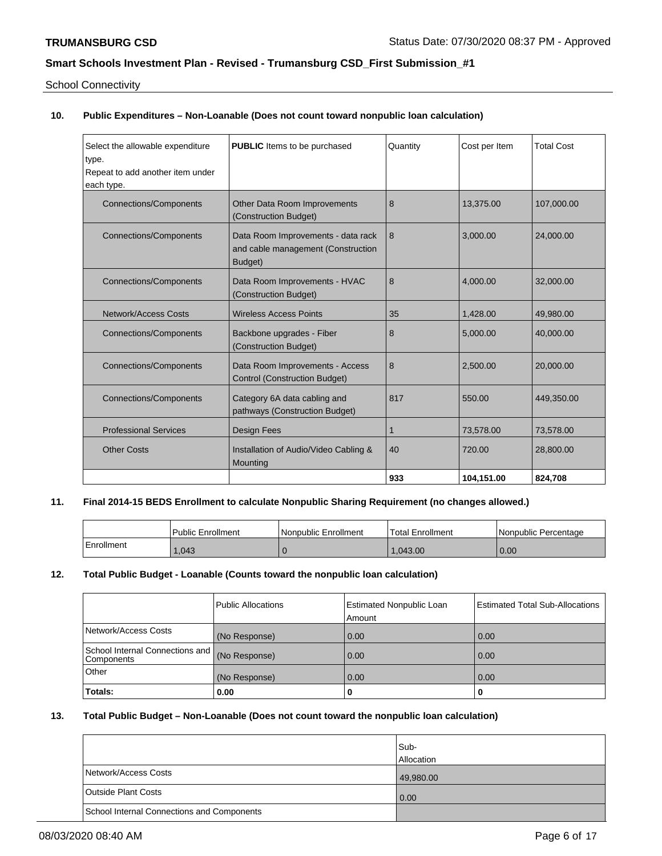School Connectivity

# **10. Public Expenditures – Non-Loanable (Does not count toward nonpublic loan calculation)**

| Select the allowable expenditure<br>type.<br>Repeat to add another item under<br>each type. | <b>PUBLIC</b> Items to be purchased                                                 | Quantity | Cost per Item | <b>Total Cost</b> |
|---------------------------------------------------------------------------------------------|-------------------------------------------------------------------------------------|----------|---------------|-------------------|
| <b>Connections/Components</b>                                                               | Other Data Room Improvements<br>(Construction Budget)                               | 8        | 13,375.00     | 107,000.00        |
| <b>Connections/Components</b>                                                               | Data Room Improvements - data rack<br>and cable management (Construction<br>Budget) | 8        | 3.000.00      | 24,000.00         |
| <b>Connections/Components</b>                                                               | Data Room Improvements - HVAC<br>(Construction Budget)                              | 8        | 4.000.00      | 32,000.00         |
| <b>Network/Access Costs</b>                                                                 | <b>Wireless Access Points</b>                                                       | 35       | 1.428.00      | 49,980.00         |
| <b>Connections/Components</b>                                                               | Backbone upgrades - Fiber<br>(Construction Budget)                                  | 8        | 5,000.00      | 40,000.00         |
| <b>Connections/Components</b>                                                               | Data Room Improvements - Access<br><b>Control (Construction Budget)</b>             | 8        | 2,500.00      | 20,000.00         |
| <b>Connections/Components</b>                                                               | Category 6A data cabling and<br>pathways (Construction Budget)                      | 817      | 550.00        | 449,350.00        |
| <b>Professional Services</b>                                                                | <b>Design Fees</b>                                                                  | 1        | 73,578.00     | 73,578.00         |
| <b>Other Costs</b>                                                                          | Installation of Audio/Video Cabling &<br>Mounting                                   | 40       | 720.00        | 28,800.00         |
|                                                                                             |                                                                                     | 933      | 104.151.00    | 824,708           |

#### **11. Final 2014-15 BEDS Enrollment to calculate Nonpublic Sharing Requirement (no changes allowed.)**

|            | Public Enrollment | l Nonpublic Enrollment | Total Enrollment | l Nonpublic Percentage |
|------------|-------------------|------------------------|------------------|------------------------|
| Enrollment | 1.043             |                        | .043.00          | 0.00                   |

# **12. Total Public Budget - Loanable (Counts toward the nonpublic loan calculation)**

|                                                 | Public Allocations | <b>Estimated Nonpublic Loan</b><br>Amount | <b>Estimated Total Sub-Allocations</b> |
|-------------------------------------------------|--------------------|-------------------------------------------|----------------------------------------|
| Network/Access Costs                            | (No Response)      | 0.00                                      | 0.00                                   |
| School Internal Connections and<br>l Components | (No Response)      | 0.00                                      | 0.00                                   |
| Other                                           | (No Response)      | 0.00                                      | 0.00                                   |
| Totals:                                         | 0.00               |                                           | 0                                      |

# **13. Total Public Budget – Non-Loanable (Does not count toward the nonpublic loan calculation)**

|                                            | Sub-<br><b>Allocation</b> |
|--------------------------------------------|---------------------------|
| Network/Access Costs                       | 49,980.00                 |
| <b>Outside Plant Costs</b>                 | 0.00                      |
| School Internal Connections and Components |                           |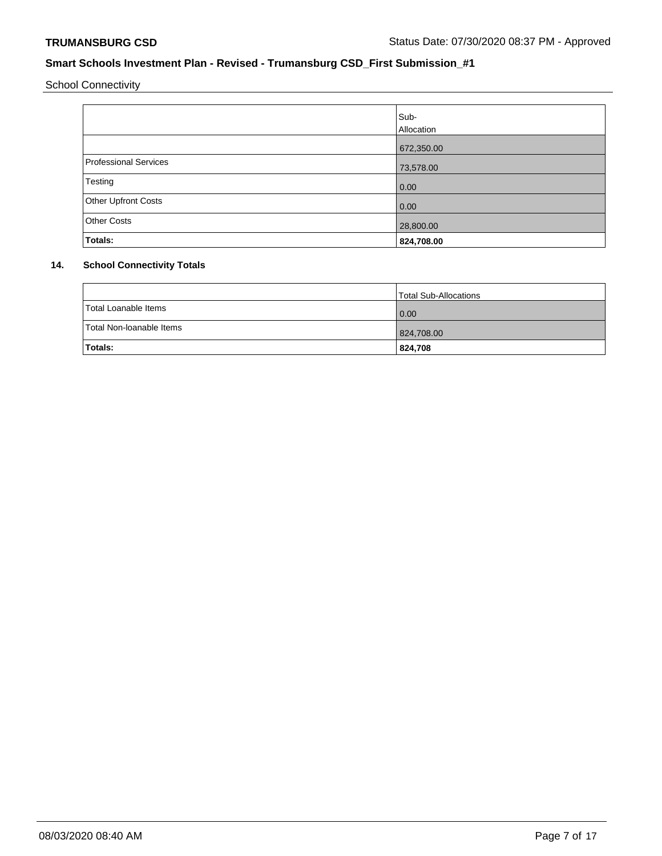School Connectivity

|                       | Sub-<br>Allocation |
|-----------------------|--------------------|
|                       | 672,350.00         |
| Professional Services | 73,578.00          |
| Testing               | 0.00               |
| Other Upfront Costs   | 0.00               |
| <b>Other Costs</b>    | 28,800.00          |
| Totals:               | 824,708.00         |

# **14. School Connectivity Totals**

|                          | Total Sub-Allocations |
|--------------------------|-----------------------|
| Total Loanable Items     | 0.00                  |
| Total Non-Ioanable Items | 824,708.00            |
| Totals:                  | 824,708               |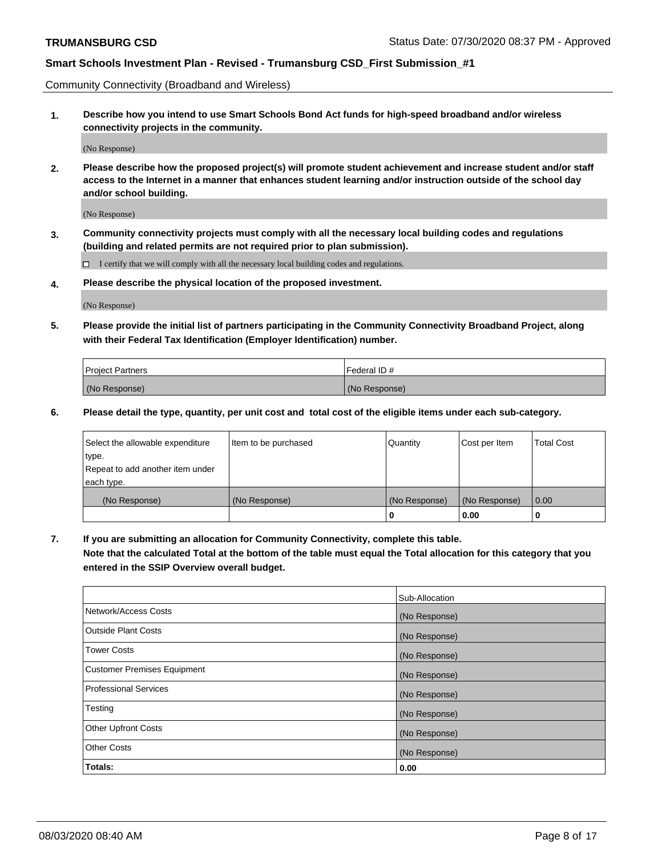Community Connectivity (Broadband and Wireless)

**1. Describe how you intend to use Smart Schools Bond Act funds for high-speed broadband and/or wireless connectivity projects in the community.**

(No Response)

**2. Please describe how the proposed project(s) will promote student achievement and increase student and/or staff access to the Internet in a manner that enhances student learning and/or instruction outside of the school day and/or school building.**

(No Response)

**3. Community connectivity projects must comply with all the necessary local building codes and regulations (building and related permits are not required prior to plan submission).**

 $\Box$  I certify that we will comply with all the necessary local building codes and regulations.

**4. Please describe the physical location of the proposed investment.**

(No Response)

**5. Please provide the initial list of partners participating in the Community Connectivity Broadband Project, along with their Federal Tax Identification (Employer Identification) number.**

| <b>Project Partners</b> | l Federal ID # |
|-------------------------|----------------|
| (No Response)           | (No Response)  |

**6. Please detail the type, quantity, per unit cost and total cost of the eligible items under each sub-category.**

| Select the allowable expenditure | Item to be purchased | Quantity      | Cost per Item | <b>Total Cost</b> |
|----------------------------------|----------------------|---------------|---------------|-------------------|
| type.                            |                      |               |               |                   |
| Repeat to add another item under |                      |               |               |                   |
| each type.                       |                      |               |               |                   |
| (No Response)                    | (No Response)        | (No Response) | (No Response) | 0.00              |
|                                  |                      | U             | 0.00          |                   |

**7. If you are submitting an allocation for Community Connectivity, complete this table.**

**Note that the calculated Total at the bottom of the table must equal the Total allocation for this category that you entered in the SSIP Overview overall budget.**

|                                    | Sub-Allocation |
|------------------------------------|----------------|
| Network/Access Costs               | (No Response)  |
| Outside Plant Costs                | (No Response)  |
| <b>Tower Costs</b>                 | (No Response)  |
| <b>Customer Premises Equipment</b> | (No Response)  |
| <b>Professional Services</b>       | (No Response)  |
| Testing                            | (No Response)  |
| <b>Other Upfront Costs</b>         | (No Response)  |
| <b>Other Costs</b>                 | (No Response)  |
| Totals:                            | 0.00           |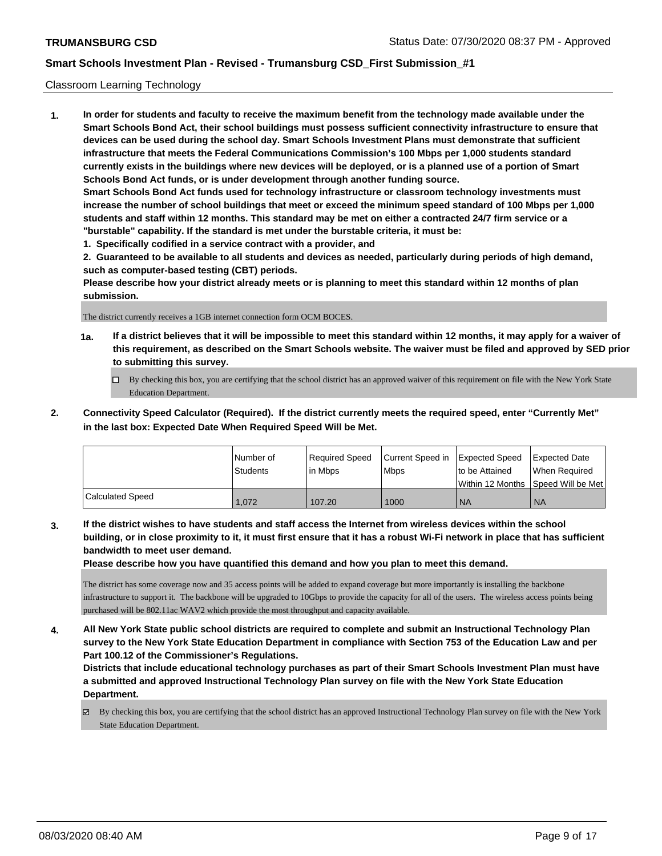#### Classroom Learning Technology

**1. In order for students and faculty to receive the maximum benefit from the technology made available under the Smart Schools Bond Act, their school buildings must possess sufficient connectivity infrastructure to ensure that devices can be used during the school day. Smart Schools Investment Plans must demonstrate that sufficient infrastructure that meets the Federal Communications Commission's 100 Mbps per 1,000 students standard currently exists in the buildings where new devices will be deployed, or is a planned use of a portion of Smart Schools Bond Act funds, or is under development through another funding source. Smart Schools Bond Act funds used for technology infrastructure or classroom technology investments must increase the number of school buildings that meet or exceed the minimum speed standard of 100 Mbps per 1,000 students and staff within 12 months. This standard may be met on either a contracted 24/7 firm service or a "burstable" capability. If the standard is met under the burstable criteria, it must be:**

**1. Specifically codified in a service contract with a provider, and**

**2. Guaranteed to be available to all students and devices as needed, particularly during periods of high demand, such as computer-based testing (CBT) periods.**

**Please describe how your district already meets or is planning to meet this standard within 12 months of plan submission.**

The district currently receives a 1GB internet connection form OCM BOCES.

- **1a. If a district believes that it will be impossible to meet this standard within 12 months, it may apply for a waiver of this requirement, as described on the Smart Schools website. The waiver must be filed and approved by SED prior to submitting this survey.**
	- By checking this box, you are certifying that the school district has an approved waiver of this requirement on file with the New York State Education Department.
- **2. Connectivity Speed Calculator (Required). If the district currently meets the required speed, enter "Currently Met" in the last box: Expected Date When Required Speed Will be Met.**

|                  | l Number of     | Required Speed | Current Speed in Expected Speed |                | Expected Date                        |
|------------------|-----------------|----------------|---------------------------------|----------------|--------------------------------------|
|                  | <b>Students</b> | In Mbps        | <b>Mbps</b>                     | to be Attained | When Required                        |
|                  |                 |                |                                 |                | Within 12 Months 1Speed Will be Met1 |
| Calculated Speed | 1.072           | 107.20         | 1000                            | <b>NA</b>      | <b>NA</b>                            |

**3. If the district wishes to have students and staff access the Internet from wireless devices within the school building, or in close proximity to it, it must first ensure that it has a robust Wi-Fi network in place that has sufficient bandwidth to meet user demand.**

**Please describe how you have quantified this demand and how you plan to meet this demand.**

The district has some coverage now and 35 access points will be added to expand coverage but more importantly is installing the backbone infrastructure to support it. The backbone will be upgraded to 10Gbps to provide the capacity for all of the users. The wireless access points being purchased will be 802.11ac WAV2 which provide the most throughput and capacity available.

**4. All New York State public school districts are required to complete and submit an Instructional Technology Plan survey to the New York State Education Department in compliance with Section 753 of the Education Law and per Part 100.12 of the Commissioner's Regulations.**

**Districts that include educational technology purchases as part of their Smart Schools Investment Plan must have a submitted and approved Instructional Technology Plan survey on file with the New York State Education Department.**

By checking this box, you are certifying that the school district has an approved Instructional Technology Plan survey on file with the New York State Education Department.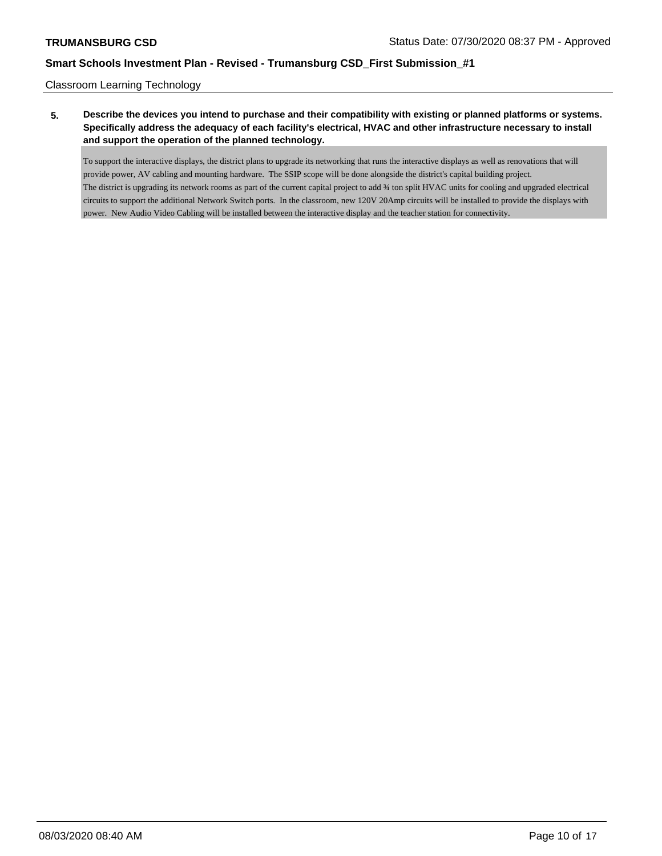Classroom Learning Technology

# **5. Describe the devices you intend to purchase and their compatibility with existing or planned platforms or systems. Specifically address the adequacy of each facility's electrical, HVAC and other infrastructure necessary to install and support the operation of the planned technology.**

To support the interactive displays, the district plans to upgrade its networking that runs the interactive displays as well as renovations that will provide power, AV cabling and mounting hardware. The SSIP scope will be done alongside the district's capital building project. The district is upgrading its network rooms as part of the current capital project to add ¾ ton split HVAC units for cooling and upgraded electrical circuits to support the additional Network Switch ports. In the classroom, new 120V 20Amp circuits will be installed to provide the displays with power. New Audio Video Cabling will be installed between the interactive display and the teacher station for connectivity.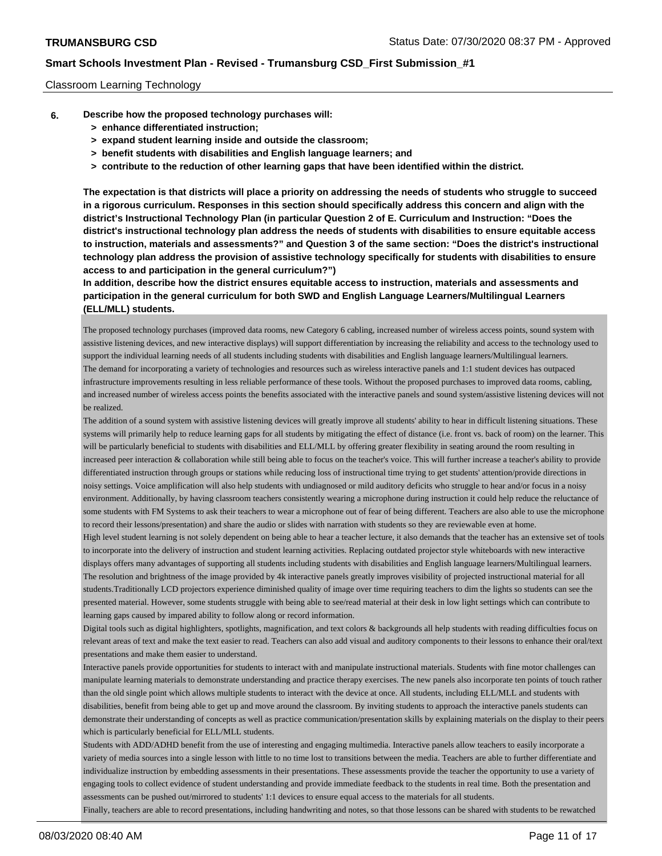#### Classroom Learning Technology

- **6. Describe how the proposed technology purchases will:**
	- **> enhance differentiated instruction;**
	- **> expand student learning inside and outside the classroom;**
	- **> benefit students with disabilities and English language learners; and**
	- **> contribute to the reduction of other learning gaps that have been identified within the district.**

**The expectation is that districts will place a priority on addressing the needs of students who struggle to succeed in a rigorous curriculum. Responses in this section should specifically address this concern and align with the district's Instructional Technology Plan (in particular Question 2 of E. Curriculum and Instruction: "Does the district's instructional technology plan address the needs of students with disabilities to ensure equitable access to instruction, materials and assessments?" and Question 3 of the same section: "Does the district's instructional technology plan address the provision of assistive technology specifically for students with disabilities to ensure access to and participation in the general curriculum?")**

**In addition, describe how the district ensures equitable access to instruction, materials and assessments and participation in the general curriculum for both SWD and English Language Learners/Multilingual Learners (ELL/MLL) students.**

The proposed technology purchases (improved data rooms, new Category 6 cabling, increased number of wireless access points, sound system with assistive listening devices, and new interactive displays) will support differentiation by increasing the reliability and access to the technology used to support the individual learning needs of all students including students with disabilities and English language learners/Multilingual learners. The demand for incorporating a variety of technologies and resources such as wireless interactive panels and 1:1 student devices has outpaced infrastructure improvements resulting in less reliable performance of these tools. Without the proposed purchases to improved data rooms, cabling, and increased number of wireless access points the benefits associated with the interactive panels and sound system/assistive listening devices will not be realized.

The addition of a sound system with assistive listening devices will greatly improve all students' ability to hear in difficult listening situations. These systems will primarily help to reduce learning gaps for all students by mitigating the effect of distance (i.e. front vs. back of room) on the learner. This will be particularly beneficial to students with disabilities and ELL/MLL by offering greater flexibility in seating around the room resulting in increased peer interaction & collaboration while still being able to focus on the teacher's voice. This will further increase a teacher's ability to provide differentiated instruction through groups or stations while reducing loss of instructional time trying to get students' attention/provide directions in noisy settings. Voice amplification will also help students with undiagnosed or mild auditory deficits who struggle to hear and/or focus in a noisy environment. Additionally, by having classroom teachers consistently wearing a microphone during instruction it could help reduce the reluctance of some students with FM Systems to ask their teachers to wear a microphone out of fear of being different. Teachers are also able to use the microphone to record their lessons/presentation) and share the audio or slides with narration with students so they are reviewable even at home.

High level student learning is not solely dependent on being able to hear a teacher lecture, it also demands that the teacher has an extensive set of tools to incorporate into the delivery of instruction and student learning activities. Replacing outdated projector style whiteboards with new interactive displays offers many advantages of supporting all students including students with disabilities and English language learners/Multilingual learners. The resolution and brightness of the image provided by 4k interactive panels greatly improves visibility of projected instructional material for all students.Traditionally LCD projectors experience diminished quality of image over time requiring teachers to dim the lights so students can see the presented material. However, some students struggle with being able to see/read material at their desk in low light settings which can contribute to learning gaps caused by impared ability to follow along or record information.

Digital tools such as digital highlighters, spotlights, magnification, and text colors & backgrounds all help students with reading difficulties focus on relevant areas of text and make the text easier to read. Teachers can also add visual and auditory components to their lessons to enhance their oral/text presentations and make them easier to understand.

Interactive panels provide opportunities for students to interact with and manipulate instructional materials. Students with fine motor challenges can manipulate learning materials to demonstrate understanding and practice therapy exercises. The new panels also incorporate ten points of touch rather than the old single point which allows multiple students to interact with the device at once. All students, including ELL/MLL and students with disabilities, benefit from being able to get up and move around the classroom. By inviting students to approach the interactive panels students can demonstrate their understanding of concepts as well as practice communication/presentation skills by explaining materials on the display to their peers which is particularly beneficial for ELL/MLL students.

Students with ADD/ADHD benefit from the use of interesting and engaging multimedia. Interactive panels allow teachers to easily incorporate a variety of media sources into a single lesson with little to no time lost to transitions between the media. Teachers are able to further differentiate and individualize instruction by embedding assessments in their presentations. These assessments provide the teacher the opportunity to use a variety of engaging tools to collect evidence of student understanding and provide immediate feedback to the students in real time. Both the presentation and assessments can be pushed out/mirrored to students' 1:1 devices to ensure equal access to the materials for all students.

Finally, teachers are able to record presentations, including handwriting and notes, so that those lessons can be shared with students to be rewatched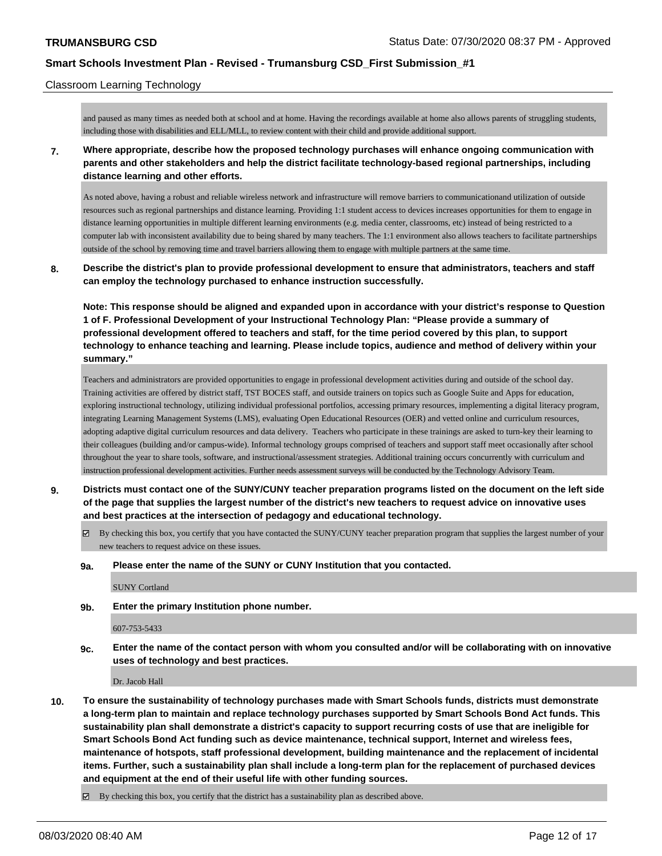#### Classroom Learning Technology

and paused as many times as needed both at school and at home. Having the recordings available at home also allows parents of struggling students, including those with disabilities and ELL/MLL, to review content with their child and provide additional support.

**7. Where appropriate, describe how the proposed technology purchases will enhance ongoing communication with parents and other stakeholders and help the district facilitate technology-based regional partnerships, including distance learning and other efforts.**

As noted above, having a robust and reliable wireless network and infrastructure will remove barriers to communicationand utilization of outside resources such as regional partnerships and distance learning. Providing 1:1 student access to devices increases opportunities for them to engage in distance learning opportunities in multiple different learning environments (e.g. media center, classrooms, etc) instead of being restricted to a computer lab with inconsistent availability due to being shared by many teachers. The 1:1 environment also allows teachers to facilitate partnerships outside of the school by removing time and travel barriers allowing them to engage with multiple partners at the same time.

**8. Describe the district's plan to provide professional development to ensure that administrators, teachers and staff can employ the technology purchased to enhance instruction successfully.**

**Note: This response should be aligned and expanded upon in accordance with your district's response to Question 1 of F. Professional Development of your Instructional Technology Plan: "Please provide a summary of professional development offered to teachers and staff, for the time period covered by this plan, to support technology to enhance teaching and learning. Please include topics, audience and method of delivery within your summary."**

Teachers and administrators are provided opportunities to engage in professional development activities during and outside of the school day. Training activities are offered by district staff, TST BOCES staff, and outside trainers on topics such as Google Suite and Apps for education, exploring instructional technology, utilizing individual professional portfolios, accessing primary resources, implementing a digital literacy program, integrating Learning Management Systems (LMS), evaluating Open Educational Resources (OER) and vetted online and curriculum resources, adopting adaptive digital curriculum resources and data delivery. Teachers who participate in these trainings are asked to turn-key their learning to their colleagues (building and/or campus-wide). Informal technology groups comprised of teachers and support staff meet occasionally after school throughout the year to share tools, software, and instructional/assessment strategies. Additional training occurs concurrently with curriculum and instruction professional development activities. Further needs assessment surveys will be conducted by the Technology Advisory Team.

- **9. Districts must contact one of the SUNY/CUNY teacher preparation programs listed on the document on the left side of the page that supplies the largest number of the district's new teachers to request advice on innovative uses and best practices at the intersection of pedagogy and educational technology.**
	- $\boxtimes$  By checking this box, you certify that you have contacted the SUNY/CUNY teacher preparation program that supplies the largest number of your new teachers to request advice on these issues.
	- **9a. Please enter the name of the SUNY or CUNY Institution that you contacted.**

SUNY Cortland

**9b. Enter the primary Institution phone number.**

#### 607-753-5433

**9c. Enter the name of the contact person with whom you consulted and/or will be collaborating with on innovative uses of technology and best practices.**

Dr. Jacob Hall

**10. To ensure the sustainability of technology purchases made with Smart Schools funds, districts must demonstrate a long-term plan to maintain and replace technology purchases supported by Smart Schools Bond Act funds. This sustainability plan shall demonstrate a district's capacity to support recurring costs of use that are ineligible for Smart Schools Bond Act funding such as device maintenance, technical support, Internet and wireless fees, maintenance of hotspots, staff professional development, building maintenance and the replacement of incidental items. Further, such a sustainability plan shall include a long-term plan for the replacement of purchased devices and equipment at the end of their useful life with other funding sources.**

 $\boxtimes$  By checking this box, you certify that the district has a sustainability plan as described above.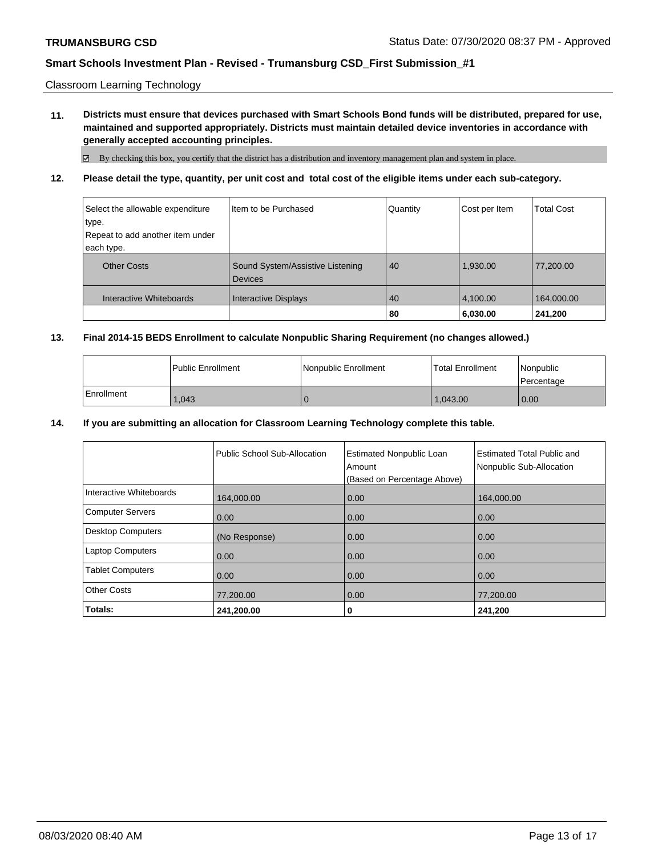Classroom Learning Technology

**11. Districts must ensure that devices purchased with Smart Schools Bond funds will be distributed, prepared for use, maintained and supported appropriately. Districts must maintain detailed device inventories in accordance with generally accepted accounting principles.**

By checking this box, you certify that the district has a distribution and inventory management plan and system in place.

**12. Please detail the type, quantity, per unit cost and total cost of the eligible items under each sub-category.**

| Select the allowable expenditure | Item to be Purchased                               | Quantity | Cost per Item | <b>Total Cost</b> |
|----------------------------------|----------------------------------------------------|----------|---------------|-------------------|
| type.                            |                                                    |          |               |                   |
| Repeat to add another item under |                                                    |          |               |                   |
| each type.                       |                                                    |          |               |                   |
| <b>Other Costs</b>               | Sound System/Assistive Listening<br><b>Devices</b> | 40       | 1,930.00      | 77,200.00         |
| Interactive Whiteboards          | <b>Interactive Displays</b>                        | 40       | 4,100.00      | 164,000.00        |
|                                  |                                                    | 80       | 6,030.00      | 241,200           |

#### **13. Final 2014-15 BEDS Enrollment to calculate Nonpublic Sharing Requirement (no changes allowed.)**

|            | Public Enrollment | Nonpublic Enrollment | Total Enrollment | Nonpublic<br>l Percentage |
|------------|-------------------|----------------------|------------------|---------------------------|
| Enrollment | .043              |                      | 043.00           | 0.00                      |

#### **14. If you are submitting an allocation for Classroom Learning Technology complete this table.**

|                          | Public School Sub-Allocation | <b>Estimated Nonpublic Loan</b><br>Amount<br>(Based on Percentage Above) | <b>Estimated Total Public and</b><br>Nonpublic Sub-Allocation |
|--------------------------|------------------------------|--------------------------------------------------------------------------|---------------------------------------------------------------|
| Interactive Whiteboards  | 164,000.00                   | 0.00                                                                     | 164,000.00                                                    |
| <b>Computer Servers</b>  | 0.00                         | 0.00                                                                     | 0.00                                                          |
| <b>Desktop Computers</b> | (No Response)                | 0.00                                                                     | 0.00                                                          |
| <b>Laptop Computers</b>  | 0.00                         | 0.00                                                                     | 0.00                                                          |
| <b>Tablet Computers</b>  | 0.00                         | 0.00                                                                     | 0.00                                                          |
| <b>Other Costs</b>       | 77,200.00                    | 0.00                                                                     | 77,200.00                                                     |
| Totals:                  | 241,200.00                   | 0                                                                        | 241,200                                                       |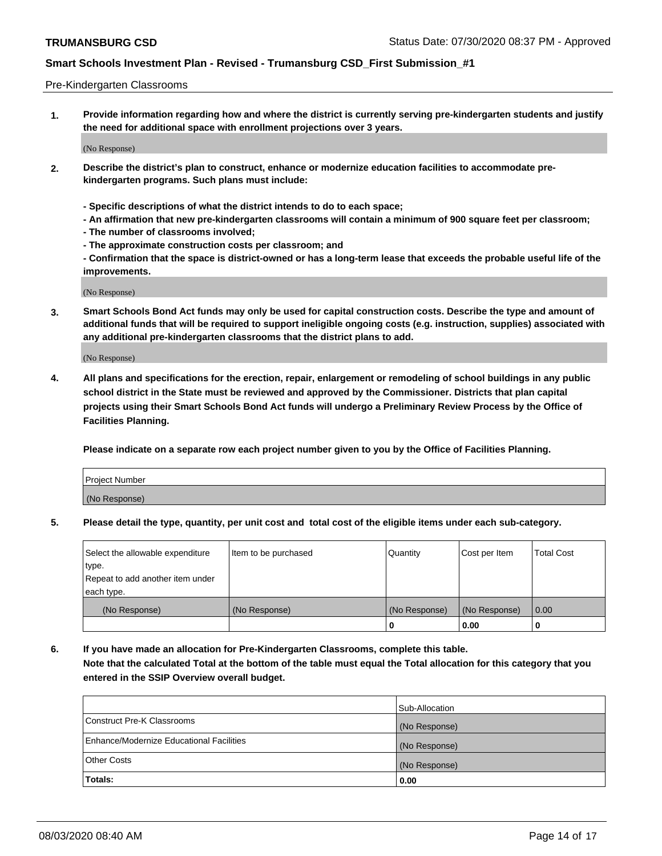#### Pre-Kindergarten Classrooms

**1. Provide information regarding how and where the district is currently serving pre-kindergarten students and justify the need for additional space with enrollment projections over 3 years.**

(No Response)

- **2. Describe the district's plan to construct, enhance or modernize education facilities to accommodate prekindergarten programs. Such plans must include:**
	- **Specific descriptions of what the district intends to do to each space;**
	- **An affirmation that new pre-kindergarten classrooms will contain a minimum of 900 square feet per classroom;**
	- **The number of classrooms involved;**
	- **The approximate construction costs per classroom; and**
	- **Confirmation that the space is district-owned or has a long-term lease that exceeds the probable useful life of the improvements.**

(No Response)

**3. Smart Schools Bond Act funds may only be used for capital construction costs. Describe the type and amount of additional funds that will be required to support ineligible ongoing costs (e.g. instruction, supplies) associated with any additional pre-kindergarten classrooms that the district plans to add.**

(No Response)

**4. All plans and specifications for the erection, repair, enlargement or remodeling of school buildings in any public school district in the State must be reviewed and approved by the Commissioner. Districts that plan capital projects using their Smart Schools Bond Act funds will undergo a Preliminary Review Process by the Office of Facilities Planning.**

**Please indicate on a separate row each project number given to you by the Office of Facilities Planning.**

| Project Number |  |
|----------------|--|
| (No Response)  |  |
|                |  |

**5. Please detail the type, quantity, per unit cost and total cost of the eligible items under each sub-category.**

| Select the allowable expenditure | Item to be purchased | Quantity      | Cost per Item | <b>Total Cost</b> |
|----------------------------------|----------------------|---------------|---------------|-------------------|
| type.                            |                      |               |               |                   |
| Repeat to add another item under |                      |               |               |                   |
| each type.                       |                      |               |               |                   |
| (No Response)                    | (No Response)        | (No Response) | (No Response) | 0.00              |
|                                  |                      | U             | 0.00          |                   |

**6. If you have made an allocation for Pre-Kindergarten Classrooms, complete this table. Note that the calculated Total at the bottom of the table must equal the Total allocation for this category that you entered in the SSIP Overview overall budget.**

|                                          | Sub-Allocation |
|------------------------------------------|----------------|
| Construct Pre-K Classrooms               | (No Response)  |
| Enhance/Modernize Educational Facilities | (No Response)  |
| <b>Other Costs</b>                       | (No Response)  |
| Totals:                                  | 0.00           |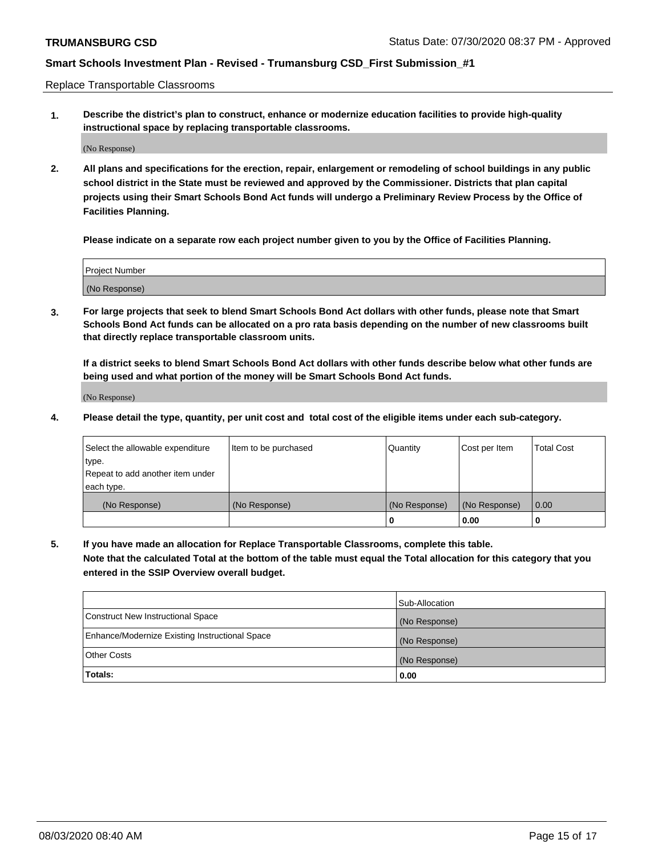Replace Transportable Classrooms

**1. Describe the district's plan to construct, enhance or modernize education facilities to provide high-quality instructional space by replacing transportable classrooms.**

(No Response)

**2. All plans and specifications for the erection, repair, enlargement or remodeling of school buildings in any public school district in the State must be reviewed and approved by the Commissioner. Districts that plan capital projects using their Smart Schools Bond Act funds will undergo a Preliminary Review Process by the Office of Facilities Planning.**

**Please indicate on a separate row each project number given to you by the Office of Facilities Planning.**

| Project Number |  |
|----------------|--|
|                |  |
| (No Response)  |  |

**3. For large projects that seek to blend Smart Schools Bond Act dollars with other funds, please note that Smart Schools Bond Act funds can be allocated on a pro rata basis depending on the number of new classrooms built that directly replace transportable classroom units.**

**If a district seeks to blend Smart Schools Bond Act dollars with other funds describe below what other funds are being used and what portion of the money will be Smart Schools Bond Act funds.**

(No Response)

**4. Please detail the type, quantity, per unit cost and total cost of the eligible items under each sub-category.**

| Select the allowable expenditure | Item to be purchased | Quantity      | Cost per Item | Total Cost |
|----------------------------------|----------------------|---------------|---------------|------------|
| ∣type.                           |                      |               |               |            |
| Repeat to add another item under |                      |               |               |            |
| each type.                       |                      |               |               |            |
| (No Response)                    | (No Response)        | (No Response) | (No Response) | 0.00       |
|                                  |                      | u             | 0.00          |            |

**5. If you have made an allocation for Replace Transportable Classrooms, complete this table. Note that the calculated Total at the bottom of the table must equal the Total allocation for this category that you entered in the SSIP Overview overall budget.**

|                                                | Sub-Allocation |
|------------------------------------------------|----------------|
| Construct New Instructional Space              | (No Response)  |
| Enhance/Modernize Existing Instructional Space | (No Response)  |
| Other Costs                                    | (No Response)  |
| Totals:                                        | 0.00           |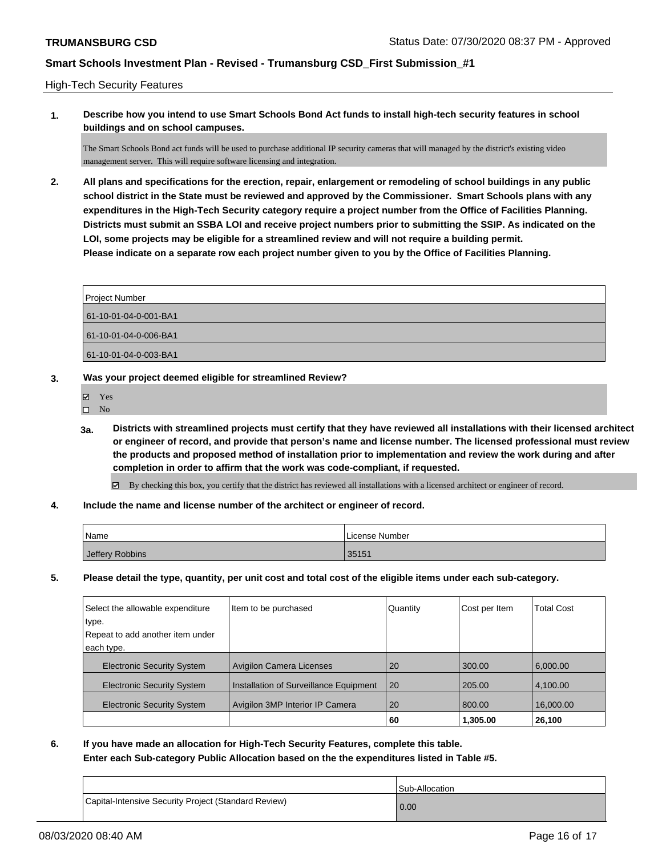#### High-Tech Security Features

**1. Describe how you intend to use Smart Schools Bond Act funds to install high-tech security features in school buildings and on school campuses.**

The Smart Schools Bond act funds will be used to purchase additional IP security cameras that will managed by the district's existing video management server. This will require software licensing and integration.

**2. All plans and specifications for the erection, repair, enlargement or remodeling of school buildings in any public school district in the State must be reviewed and approved by the Commissioner. Smart Schools plans with any expenditures in the High-Tech Security category require a project number from the Office of Facilities Planning. Districts must submit an SSBA LOI and receive project numbers prior to submitting the SSIP. As indicated on the LOI, some projects may be eligible for a streamlined review and will not require a building permit. Please indicate on a separate row each project number given to you by the Office of Facilities Planning.**

| <b>Project Number</b> |  |
|-----------------------|--|
| 61-10-01-04-0-001-BA1 |  |
| 61-10-01-04-0-006-BA1 |  |
| 61-10-01-04-0-003-BA1 |  |

- **3. Was your project deemed eligible for streamlined Review?**
	- Yes
	- $\square$  No
	- **3a. Districts with streamlined projects must certify that they have reviewed all installations with their licensed architect or engineer of record, and provide that person's name and license number. The licensed professional must review the products and proposed method of installation prior to implementation and review the work during and after completion in order to affirm that the work was code-compliant, if requested.**
		- By checking this box, you certify that the district has reviewed all installations with a licensed architect or engineer of record.
- **4. Include the name and license number of the architect or engineer of record.**

| Name <sup>1</sup> | License Number |
|-------------------|----------------|
| Jeffery Robbins   | 35151          |

**5. Please detail the type, quantity, per unit cost and total cost of the eligible items under each sub-category.**

| Select the allowable expenditure  | Item to be purchased                   | Quantity  | Cost per Item | <b>Total Cost</b> |
|-----------------------------------|----------------------------------------|-----------|---------------|-------------------|
| type.                             |                                        |           |               |                   |
| Repeat to add another item under  |                                        |           |               |                   |
| each type.                        |                                        |           |               |                   |
| <b>Electronic Security System</b> | <b>Avigilon Camera Licenses</b>        | 20        | 300.00        | 6,000.00          |
| <b>Electronic Security System</b> | Installation of Surveillance Equipment | <b>20</b> | 205.00        | 4,100.00          |
| <b>Electronic Security System</b> | Avigilon 3MP Interior IP Camera        | 20        | 800.00        | 16,000.00         |
|                                   |                                        | 60        | 1,305.00      | 26,100            |

**6. If you have made an allocation for High-Tech Security Features, complete this table. Enter each Sub-category Public Allocation based on the the expenditures listed in Table #5.**

|                                                      | I Sub-Allocation |
|------------------------------------------------------|------------------|
| Capital-Intensive Security Project (Standard Review) | 0.00             |